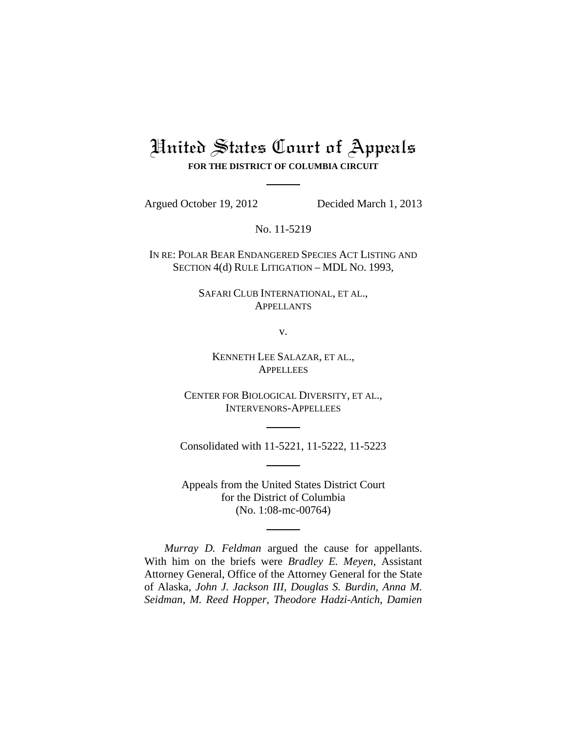# United States Court of Appeals **FOR THE DISTRICT OF COLUMBIA CIRCUIT**

Argued October 19, 2012 Decided March 1, 2013

No. 11-5219

IN RE: POLAR BEAR ENDANGERED SPECIES ACT LISTING AND SECTION 4(d) RULE LITIGATION – MDL NO. 1993,

> SAFARI CLUB INTERNATIONAL, ET AL., **APPELLANTS**

> > v.

KENNETH LEE SALAZAR, ET AL., **APPELLEES** 

CENTER FOR BIOLOGICAL DIVERSITY, ET AL., INTERVENORS-APPELLEES

Consolidated with 11-5221, 11-5222, 11-5223

Appeals from the United States District Court for the District of Columbia (No. 1:08-mc-00764)

*Murray D. Feldman* argued the cause for appellants. With him on the briefs were *Bradley E. Meyen*, Assistant Attorney General, Office of the Attorney General for the State of Alaska, *John J. Jackson III, Douglas S. Burdin*, *Anna M. Seidman*, *M. Reed Hopper*, *Theodore Hadzi-Antich*, *Damien*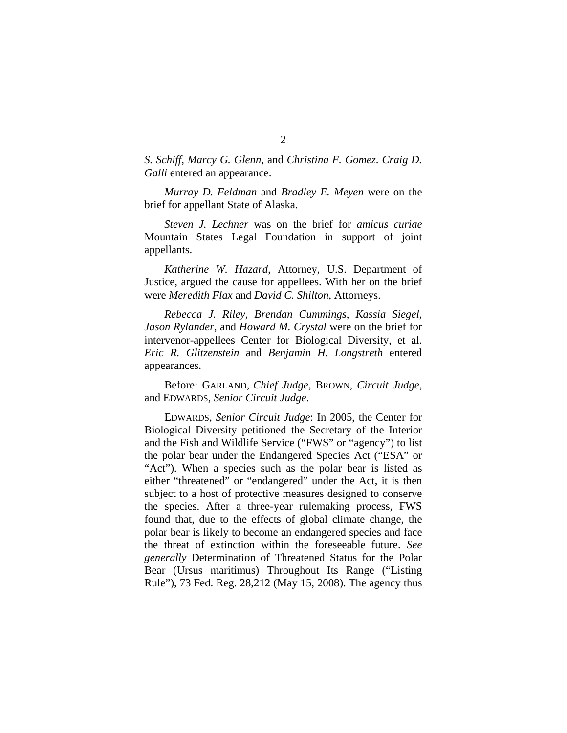*S. Schiff*, *Marcy G. Glenn*, and *Christina F. Gomez*. *Craig D. Galli* entered an appearance.

*Murray D. Feldman* and *Bradley E. Meyen* were on the brief for appellant State of Alaska.

*Steven J. Lechner* was on the brief for *amicus curiae*  Mountain States Legal Foundation in support of joint appellants.

*Katherine W. Hazard*, Attorney, U.S. Department of Justice, argued the cause for appellees. With her on the brief were *Meredith Flax* and *David C. Shilton*, Attorneys.

*Rebecca J. Riley*, *Brendan Cummings*, *Kassia Siegel*, *Jason Rylander*, and *Howard M. Crystal* were on the brief for intervenor-appellees Center for Biological Diversity, et al. *Eric R. Glitzenstein* and *Benjamin H. Longstreth* entered appearances.

Before: GARLAND, *Chief Judge*, BROWN, *Circuit Judge*, and EDWARDS, *Senior Circuit Judge*.

EDWARDS, *Senior Circuit Judge*: In 2005, the Center for Biological Diversity petitioned the Secretary of the Interior and the Fish and Wildlife Service ("FWS" or "agency") to list the polar bear under the Endangered Species Act ("ESA" or "Act"). When a species such as the polar bear is listed as either "threatened" or "endangered" under the Act, it is then subject to a host of protective measures designed to conserve the species. After a three-year rulemaking process, FWS found that, due to the effects of global climate change, the polar bear is likely to become an endangered species and face the threat of extinction within the foreseeable future. *See generally* Determination of Threatened Status for the Polar Bear (Ursus maritimus) Throughout Its Range ("Listing Rule"), 73 Fed. Reg. 28,212 (May 15, 2008). The agency thus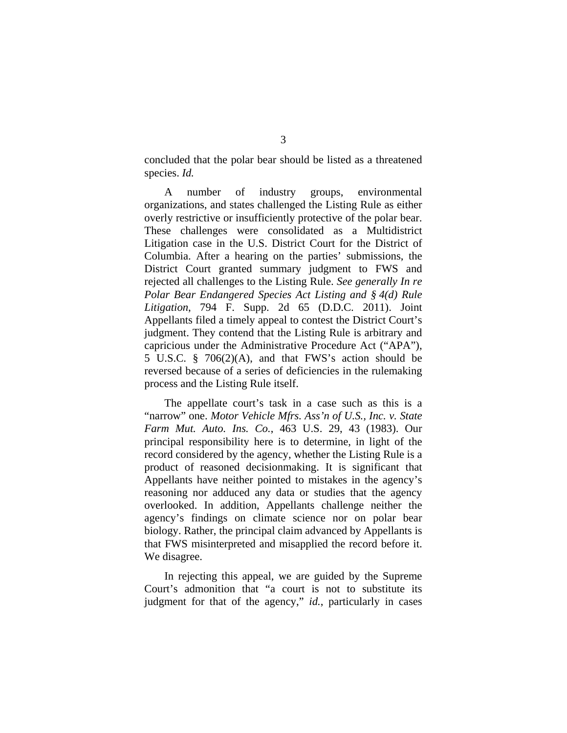concluded that the polar bear should be listed as a threatened species. *Id.*

A number of industry groups, environmental organizations, and states challenged the Listing Rule as either overly restrictive or insufficiently protective of the polar bear. These challenges were consolidated as a Multidistrict Litigation case in the U.S. District Court for the District of Columbia. After a hearing on the parties' submissions, the District Court granted summary judgment to FWS and rejected all challenges to the Listing Rule. *See generally In re Polar Bear Endangered Species Act Listing and § 4(d) Rule Litigation*, 794 F. Supp. 2d 65 (D.D.C. 2011). Joint Appellants filed a timely appeal to contest the District Court's judgment. They contend that the Listing Rule is arbitrary and capricious under the Administrative Procedure Act ("APA"), 5 U.S.C. § 706(2)(A), and that FWS's action should be reversed because of a series of deficiencies in the rulemaking process and the Listing Rule itself.

The appellate court's task in a case such as this is a "narrow" one. *Motor Vehicle Mfrs. Ass'n of U.S., Inc. v. State Farm Mut. Auto. Ins. Co.*, 463 U.S. 29, 43 (1983). Our principal responsibility here is to determine, in light of the record considered by the agency, whether the Listing Rule is a product of reasoned decisionmaking. It is significant that Appellants have neither pointed to mistakes in the agency's reasoning nor adduced any data or studies that the agency overlooked. In addition, Appellants challenge neither the agency's findings on climate science nor on polar bear biology. Rather, the principal claim advanced by Appellants is that FWS misinterpreted and misapplied the record before it. We disagree.

In rejecting this appeal, we are guided by the Supreme Court's admonition that "a court is not to substitute its judgment for that of the agency," *id.*, particularly in cases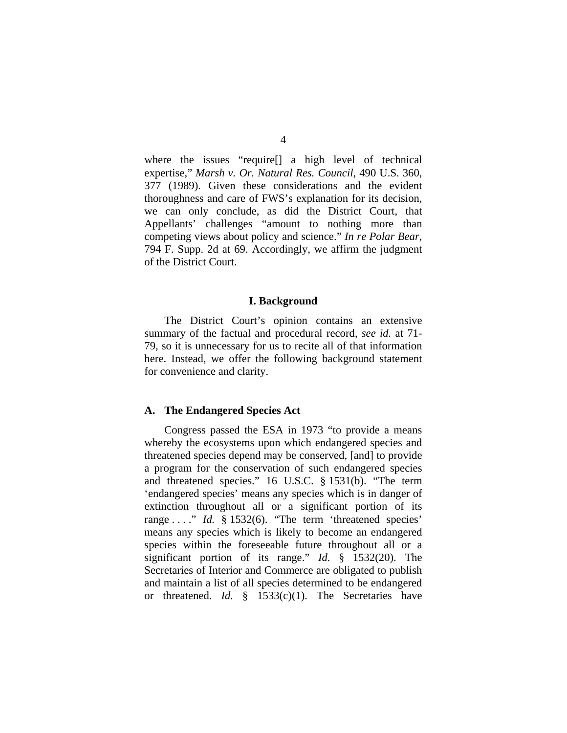where the issues "require[] a high level of technical expertise," *Marsh v. Or. Natural Res. Council*, 490 U.S. 360, 377 (1989). Given these considerations and the evident thoroughness and care of FWS's explanation for its decision, we can only conclude, as did the District Court, that Appellants' challenges "amount to nothing more than competing views about policy and science." *In re Polar Bear*, 794 F. Supp. 2d at 69. Accordingly, we affirm the judgment of the District Court.

#### **I. Background**

The District Court's opinion contains an extensive summary of the factual and procedural record, *see id.* at 71- 79, so it is unnecessary for us to recite all of that information here. Instead, we offer the following background statement for convenience and clarity.

## **A. The Endangered Species Act**

Congress passed the ESA in 1973 "to provide a means whereby the ecosystems upon which endangered species and threatened species depend may be conserved, [and] to provide a program for the conservation of such endangered species and threatened species." 16 U.S.C. § 1531(b). "The term 'endangered species' means any species which is in danger of extinction throughout all or a significant portion of its range . . . ." *Id.* § 1532(6). "The term 'threatened species' means any species which is likely to become an endangered species within the foreseeable future throughout all or a significant portion of its range." *Id.* § 1532(20). The Secretaries of Interior and Commerce are obligated to publish and maintain a list of all species determined to be endangered or threatened. *Id.* § 1533(c)(1). The Secretaries have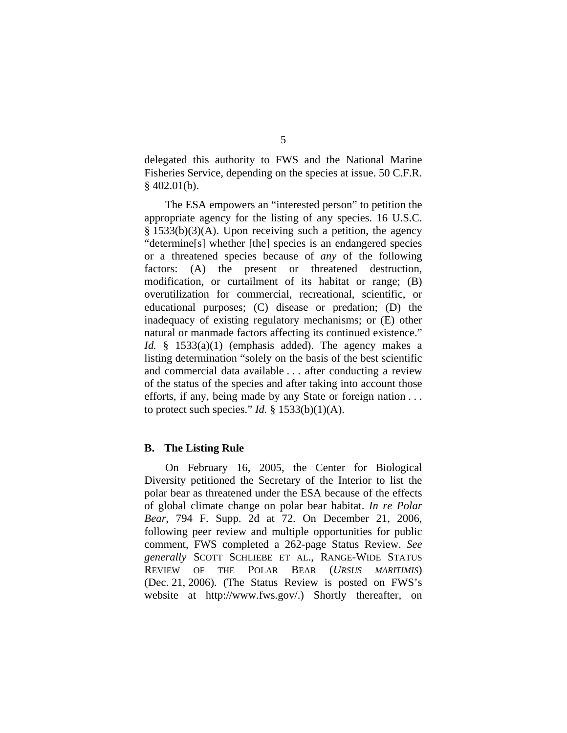delegated this authority to FWS and the National Marine Fisheries Service, depending on the species at issue. 50 C.F.R.  $§$  402.01(b).

The ESA empowers an "interested person" to petition the appropriate agency for the listing of any species. 16 U.S.C. § 1533(b)(3)(A). Upon receiving such a petition, the agency "determine[s] whether [the] species is an endangered species or a threatened species because of *any* of the following factors: (A) the present or threatened destruction, modification, or curtailment of its habitat or range; (B) overutilization for commercial, recreational, scientific, or educational purposes; (C) disease or predation; (D) the inadequacy of existing regulatory mechanisms; or (E) other natural or manmade factors affecting its continued existence." *Id.* § 1533(a)(1) (emphasis added). The agency makes a listing determination "solely on the basis of the best scientific and commercial data available . . . after conducting a review of the status of the species and after taking into account those efforts, if any, being made by any State or foreign nation . . . to protect such species." *Id.*  $\S$  1533(b)(1)(A).

# **B. The Listing Rule**

On February 16, 2005, the Center for Biological Diversity petitioned the Secretary of the Interior to list the polar bear as threatened under the ESA because of the effects of global climate change on polar bear habitat. *In re Polar Bear*, 794 F. Supp. 2d at 72. On December 21, 2006, following peer review and multiple opportunities for public comment, FWS completed a 262-page Status Review. *See generally* SCOTT SCHLIEBE ET AL., RANGE-WIDE STATUS REVIEW OF THE POLAR BEAR (*URSUS MARITIMIS*) (Dec. 21, 2006). (The Status Review is posted on FWS's website at http://www.fws.gov/.) Shortly thereafter, on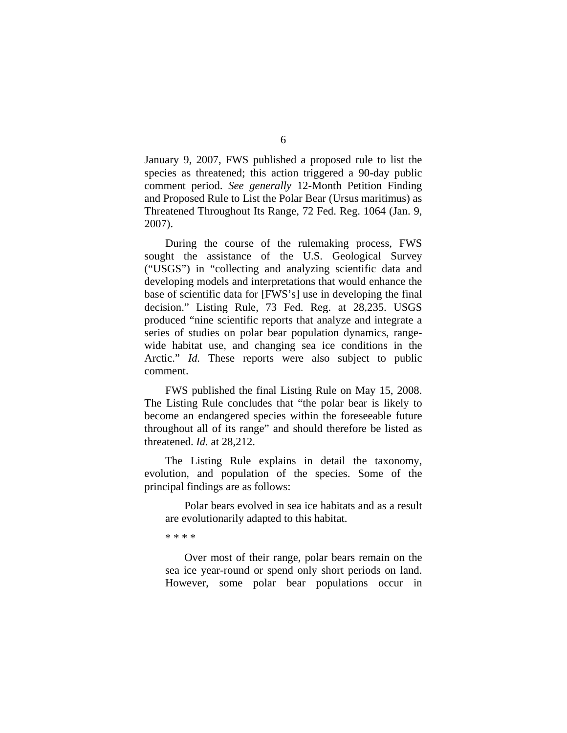January 9, 2007, FWS published a proposed rule to list the species as threatened; this action triggered a 90-day public comment period. *See generally* 12-Month Petition Finding and Proposed Rule to List the Polar Bear (Ursus maritimus) as Threatened Throughout Its Range, 72 Fed. Reg. 1064 (Jan. 9, 2007).

During the course of the rulemaking process, FWS sought the assistance of the U.S. Geological Survey ("USGS") in "collecting and analyzing scientific data and developing models and interpretations that would enhance the base of scientific data for [FWS's] use in developing the final decision." Listing Rule, 73 Fed. Reg. at 28,235. USGS produced "nine scientific reports that analyze and integrate a series of studies on polar bear population dynamics, rangewide habitat use, and changing sea ice conditions in the Arctic." *Id.* These reports were also subject to public comment.

FWS published the final Listing Rule on May 15, 2008. The Listing Rule concludes that "the polar bear is likely to become an endangered species within the foreseeable future throughout all of its range" and should therefore be listed as threatened. *Id.* at 28,212.

The Listing Rule explains in detail the taxonomy, evolution, and population of the species. Some of the principal findings are as follows:

Polar bears evolved in sea ice habitats and as a result are evolutionarily adapted to this habitat.

\* \* \* \*

Over most of their range, polar bears remain on the sea ice year-round or spend only short periods on land. However, some polar bear populations occur in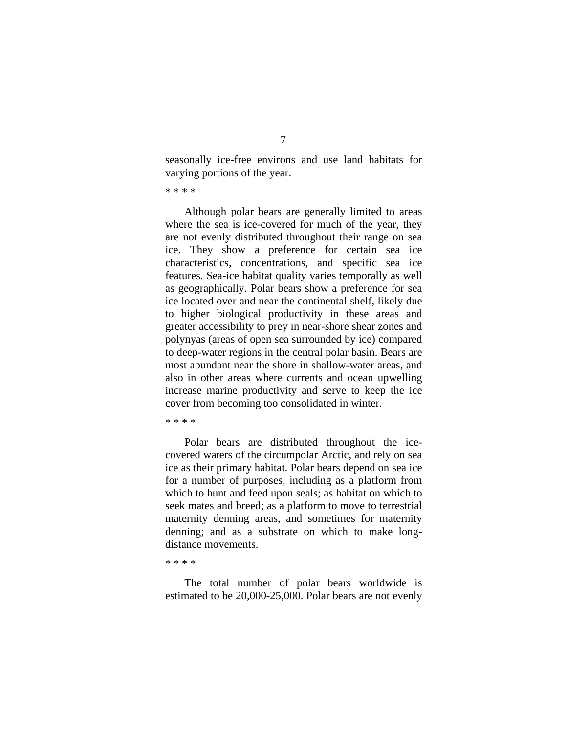seasonally ice-free environs and use land habitats for varying portions of the year.

\* \* \* \*

Although polar bears are generally limited to areas where the sea is ice-covered for much of the year, they are not evenly distributed throughout their range on sea ice. They show a preference for certain sea ice characteristics, concentrations, and specific sea ice features. Sea-ice habitat quality varies temporally as well as geographically. Polar bears show a preference for sea ice located over and near the continental shelf, likely due to higher biological productivity in these areas and greater accessibility to prey in near-shore shear zones and polynyas (areas of open sea surrounded by ice) compared to deep-water regions in the central polar basin. Bears are most abundant near the shore in shallow-water areas, and also in other areas where currents and ocean upwelling increase marine productivity and serve to keep the ice cover from becoming too consolidated in winter.

\* \* \* \*

Polar bears are distributed throughout the icecovered waters of the circumpolar Arctic, and rely on sea ice as their primary habitat. Polar bears depend on sea ice for a number of purposes, including as a platform from which to hunt and feed upon seals; as habitat on which to seek mates and breed; as a platform to move to terrestrial maternity denning areas, and sometimes for maternity denning; and as a substrate on which to make longdistance movements.

\* \* \* \*

The total number of polar bears worldwide is estimated to be 20,000-25,000. Polar bears are not evenly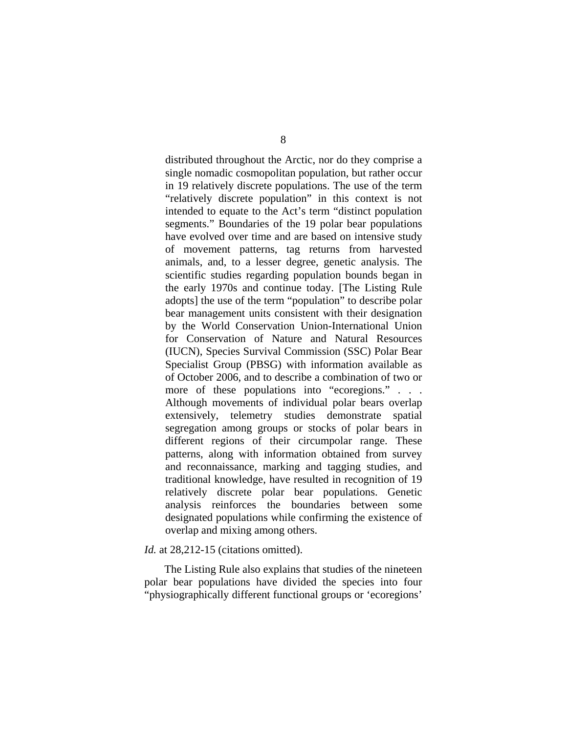distributed throughout the Arctic, nor do they comprise a single nomadic cosmopolitan population, but rather occur in 19 relatively discrete populations. The use of the term "relatively discrete population" in this context is not intended to equate to the Act's term "distinct population segments." Boundaries of the 19 polar bear populations have evolved over time and are based on intensive study of movement patterns, tag returns from harvested animals, and, to a lesser degree, genetic analysis. The scientific studies regarding population bounds began in the early 1970s and continue today. [The Listing Rule adopts] the use of the term "population" to describe polar bear management units consistent with their designation by the World Conservation Union-International Union for Conservation of Nature and Natural Resources (IUCN), Species Survival Commission (SSC) Polar Bear Specialist Group (PBSG) with information available as of October 2006, and to describe a combination of two or more of these populations into "ecoregions." . . . Although movements of individual polar bears overlap extensively, telemetry studies demonstrate spatial segregation among groups or stocks of polar bears in different regions of their circumpolar range. These patterns, along with information obtained from survey and reconnaissance, marking and tagging studies, and traditional knowledge, have resulted in recognition of 19 relatively discrete polar bear populations. Genetic analysis reinforces the boundaries between some designated populations while confirming the existence of overlap and mixing among others.

# *Id.* at 28,212-15 (citations omitted).

The Listing Rule also explains that studies of the nineteen polar bear populations have divided the species into four "physiographically different functional groups or 'ecoregions'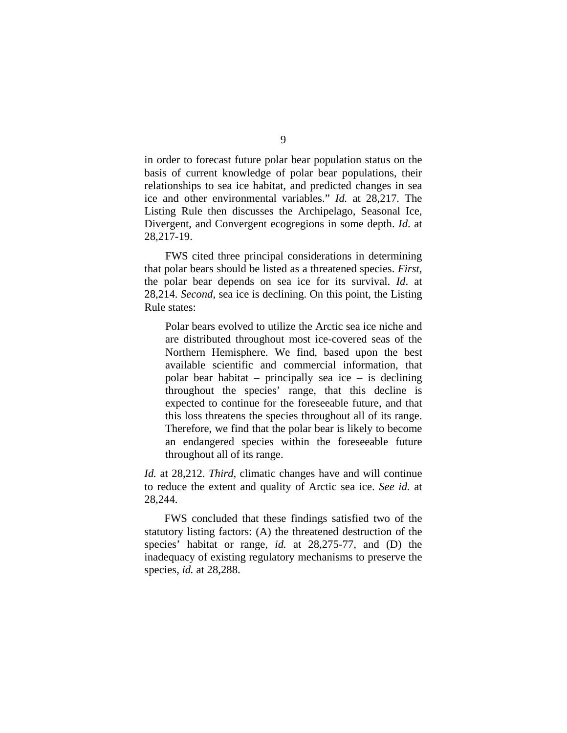in order to forecast future polar bear population status on the basis of current knowledge of polar bear populations, their relationships to sea ice habitat, and predicted changes in sea ice and other environmental variables." *Id.* at 28,217. The Listing Rule then discusses the Archipelago, Seasonal Ice, Divergent, and Convergent ecogregions in some depth. *Id*. at 28,217-19.

FWS cited three principal considerations in determining that polar bears should be listed as a threatened species. *First*, the polar bear depends on sea ice for its survival. *Id*. at 28,214. *Second*, sea ice is declining. On this point, the Listing Rule states:

Polar bears evolved to utilize the Arctic sea ice niche and are distributed throughout most ice-covered seas of the Northern Hemisphere. We find, based upon the best available scientific and commercial information, that polar bear habitat – principally sea ice – is declining throughout the species' range, that this decline is expected to continue for the foreseeable future, and that this loss threatens the species throughout all of its range. Therefore, we find that the polar bear is likely to become an endangered species within the foreseeable future throughout all of its range.

*Id.* at 28,212. *Third*, climatic changes have and will continue to reduce the extent and quality of Arctic sea ice. *See id.* at 28,244.

FWS concluded that these findings satisfied two of the statutory listing factors: (A) the threatened destruction of the species' habitat or range, *id.* at 28,275-77, and (D) the inadequacy of existing regulatory mechanisms to preserve the species, *id.* at 28,288.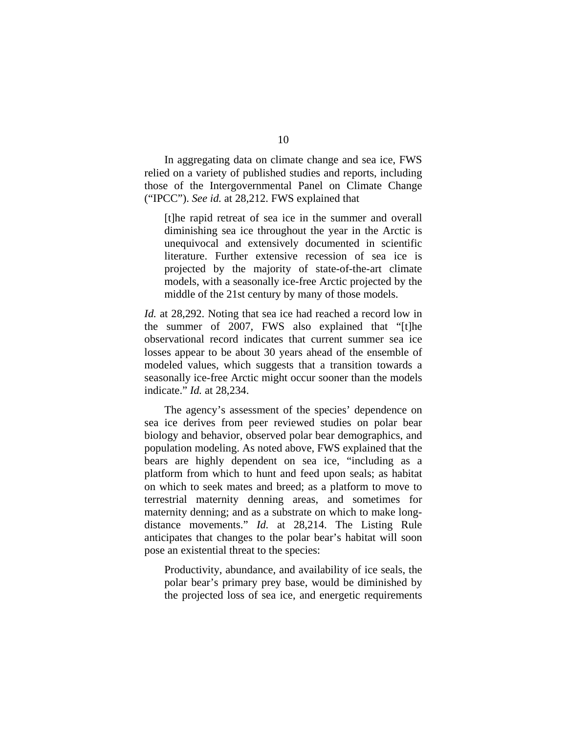In aggregating data on climate change and sea ice, FWS relied on a variety of published studies and reports, including those of the Intergovernmental Panel on Climate Change ("IPCC"). *See id.* at 28,212. FWS explained that

[t]he rapid retreat of sea ice in the summer and overall diminishing sea ice throughout the year in the Arctic is unequivocal and extensively documented in scientific literature. Further extensive recession of sea ice is projected by the majority of state-of-the-art climate models, with a seasonally ice-free Arctic projected by the middle of the 21st century by many of those models.

*Id.* at 28,292. Noting that sea ice had reached a record low in the summer of 2007, FWS also explained that "[t]he observational record indicates that current summer sea ice losses appear to be about 30 years ahead of the ensemble of modeled values, which suggests that a transition towards a seasonally ice-free Arctic might occur sooner than the models indicate." *Id.* at 28,234.

The agency's assessment of the species' dependence on sea ice derives from peer reviewed studies on polar bear biology and behavior, observed polar bear demographics, and population modeling. As noted above, FWS explained that the bears are highly dependent on sea ice, "including as a platform from which to hunt and feed upon seals; as habitat on which to seek mates and breed; as a platform to move to terrestrial maternity denning areas, and sometimes for maternity denning; and as a substrate on which to make longdistance movements." *Id.* at 28,214. The Listing Rule anticipates that changes to the polar bear's habitat will soon pose an existential threat to the species:

Productivity, abundance, and availability of ice seals, the polar bear's primary prey base, would be diminished by the projected loss of sea ice, and energetic requirements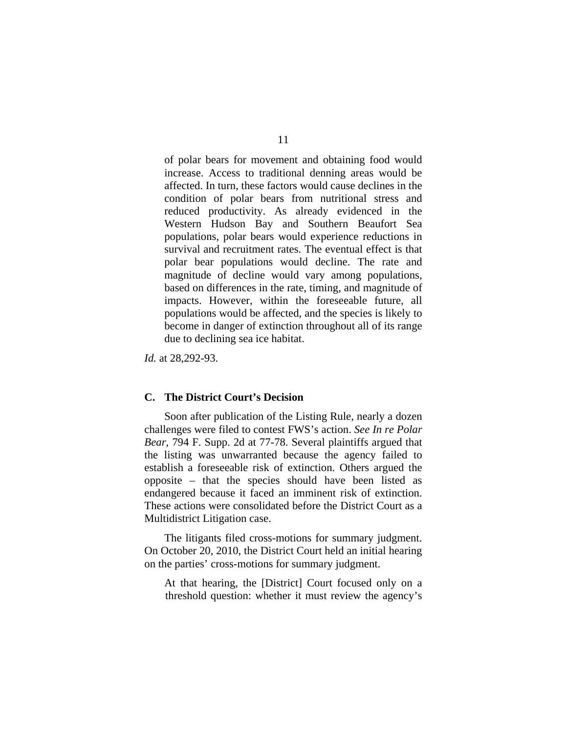of polar bears for movement and obtaining food would increase. Access to traditional denning areas would be affected. In turn, these factors would cause declines in the condition of polar bears from nutritional stress and reduced productivity. As already evidenced in the Western Hudson Bay and Southern Beaufort Sea populations, polar bears would experience reductions in survival and recruitment rates. The eventual effect is that polar bear populations would decline. The rate and magnitude of decline would vary among populations, based on differences in the rate, timing, and magnitude of impacts. However, within the foreseeable future, all populations would be affected, and the species is likely to become in danger of extinction throughout all of its range due to declining sea ice habitat.

*Id.* at 28,292-93.

# **C. The District Court's Decision**

Soon after publication of the Listing Rule, nearly a dozen challenges were filed to contest FWS's action. *See In re Polar Bear*, 794 F. Supp. 2d at 77-78. Several plaintiffs argued that the listing was unwarranted because the agency failed to establish a foreseeable risk of extinction. Others argued the opposite – that the species should have been listed as endangered because it faced an imminent risk of extinction. These actions were consolidated before the District Court as a Multidistrict Litigation case.

The litigants filed cross-motions for summary judgment. On October 20, 2010, the District Court held an initial hearing on the parties' cross-motions for summary judgment.

At that hearing, the [District] Court focused only on a threshold question: whether it must review the agency's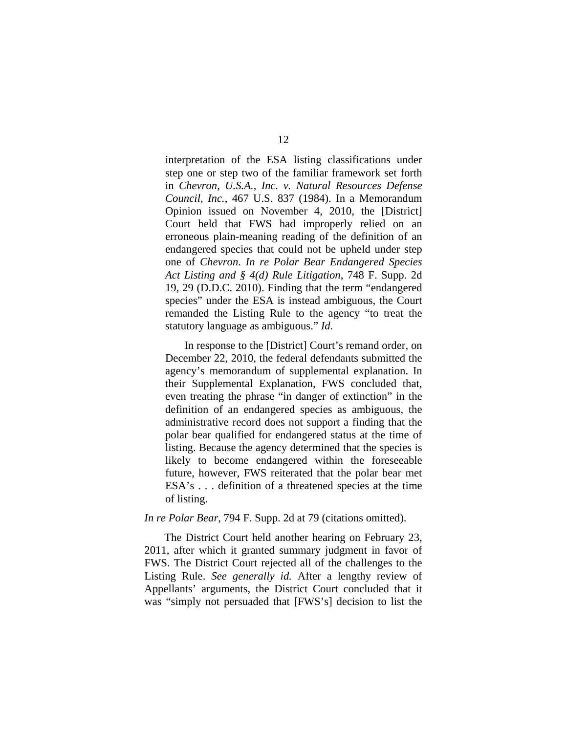interpretation of the ESA listing classifications under step one or step two of the familiar framework set forth in *Chevron, U.S.A., Inc. v. Natural Resources Defense Council, Inc.*, 467 U.S. 837 (1984). In a Memorandum Opinion issued on November 4, 2010, the [District] Court held that FWS had improperly relied on an erroneous plain-meaning reading of the definition of an endangered species that could not be upheld under step one of *Chevron*. *In re Polar Bear Endangered Species Act Listing and § 4(d) Rule Litigation*, 748 F. Supp. 2d 19, 29 (D.D.C. 2010). Finding that the term "endangered species" under the ESA is instead ambiguous, the Court remanded the Listing Rule to the agency "to treat the statutory language as ambiguous." *Id*.

In response to the [District] Court's remand order, on December 22, 2010, the federal defendants submitted the agency's memorandum of supplemental explanation. In their Supplemental Explanation, FWS concluded that, even treating the phrase "in danger of extinction" in the definition of an endangered species as ambiguous, the administrative record does not support a finding that the polar bear qualified for endangered status at the time of listing. Because the agency determined that the species is likely to become endangered within the foreseeable future, however, FWS reiterated that the polar bear met ESA's . . . definition of a threatened species at the time of listing.

# *In re Polar Bear*, 794 F. Supp. 2d at 79 (citations omitted).

The District Court held another hearing on February 23, 2011, after which it granted summary judgment in favor of FWS. The District Court rejected all of the challenges to the Listing Rule. *See generally id.* After a lengthy review of Appellants' arguments, the District Court concluded that it was "simply not persuaded that [FWS's] decision to list the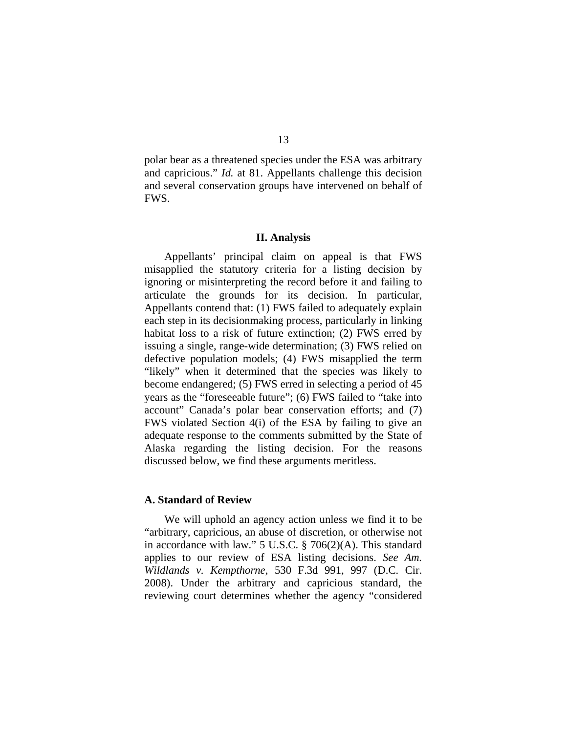polar bear as a threatened species under the ESA was arbitrary and capricious." *Id.* at 81. Appellants challenge this decision and several conservation groups have intervened on behalf of FWS.

#### **II. Analysis**

Appellants' principal claim on appeal is that FWS misapplied the statutory criteria for a listing decision by ignoring or misinterpreting the record before it and failing to articulate the grounds for its decision. In particular, Appellants contend that: (1) FWS failed to adequately explain each step in its decisionmaking process, particularly in linking habitat loss to a risk of future extinction; (2) FWS erred by issuing a single, range-wide determination; (3) FWS relied on defective population models; (4) FWS misapplied the term "likely" when it determined that the species was likely to become endangered; (5) FWS erred in selecting a period of 45 years as the "foreseeable future"; (6) FWS failed to "take into account" Canada's polar bear conservation efforts; and (7) FWS violated Section 4(i) of the ESA by failing to give an adequate response to the comments submitted by the State of Alaska regarding the listing decision. For the reasons discussed below, we find these arguments meritless.

#### **A. Standard of Review**

We will uphold an agency action unless we find it to be "arbitrary, capricious, an abuse of discretion, or otherwise not in accordance with law." 5 U.S.C. § 706(2)(A). This standard applies to our review of ESA listing decisions. *See Am. Wildlands v. Kempthorne*, 530 F.3d 991, 997 (D.C. Cir. 2008). Under the arbitrary and capricious standard, the reviewing court determines whether the agency "considered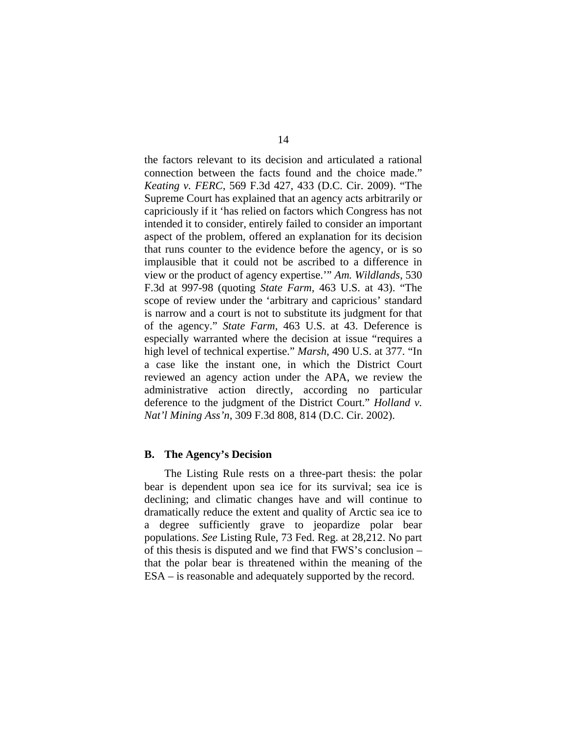the factors relevant to its decision and articulated a rational connection between the facts found and the choice made." *Keating v. FERC*, 569 F.3d 427, 433 (D.C. Cir. 2009). "The Supreme Court has explained that an agency acts arbitrarily or capriciously if it 'has relied on factors which Congress has not intended it to consider, entirely failed to consider an important aspect of the problem, offered an explanation for its decision that runs counter to the evidence before the agency, or is so implausible that it could not be ascribed to a difference in view or the product of agency expertise.'" *Am. Wildlands*, 530 F.3d at 997-98 (quoting *State Farm*, 463 U.S. at 43). "The scope of review under the 'arbitrary and capricious' standard is narrow and a court is not to substitute its judgment for that of the agency." *State Farm*, 463 U.S. at 43. Deference is especially warranted where the decision at issue "requires a high level of technical expertise." *Marsh*, 490 U.S. at 377. "In a case like the instant one, in which the District Court reviewed an agency action under the APA, we review the administrative action directly, according no particular deference to the judgment of the District Court." *Holland v. Nat'l Mining Ass'n*, 309 F.3d 808, 814 (D.C. Cir. 2002).

#### **B. The Agency's Decision**

The Listing Rule rests on a three-part thesis: the polar bear is dependent upon sea ice for its survival; sea ice is declining; and climatic changes have and will continue to dramatically reduce the extent and quality of Arctic sea ice to a degree sufficiently grave to jeopardize polar bear populations. *See* Listing Rule, 73 Fed. Reg. at 28,212. No part of this thesis is disputed and we find that FWS's conclusion – that the polar bear is threatened within the meaning of the ESA – is reasonable and adequately supported by the record.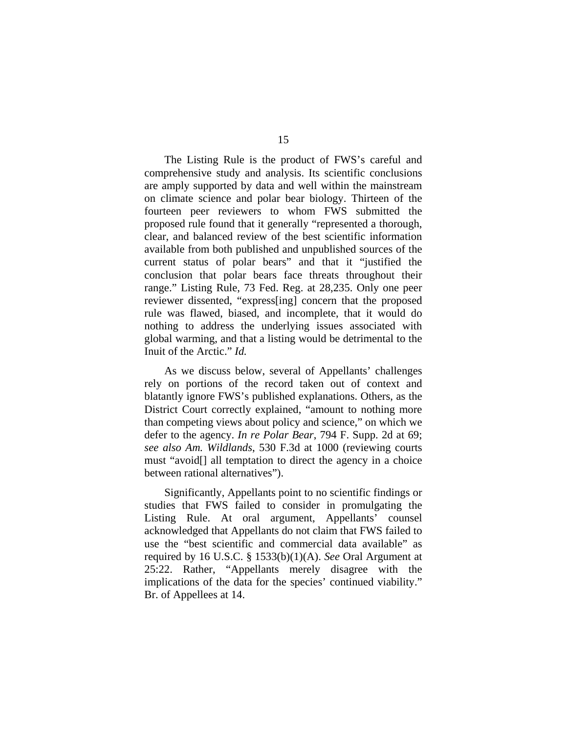The Listing Rule is the product of FWS's careful and comprehensive study and analysis. Its scientific conclusions are amply supported by data and well within the mainstream on climate science and polar bear biology. Thirteen of the fourteen peer reviewers to whom FWS submitted the proposed rule found that it generally "represented a thorough, clear, and balanced review of the best scientific information available from both published and unpublished sources of the current status of polar bears" and that it "justified the conclusion that polar bears face threats throughout their range." Listing Rule, 73 Fed. Reg. at 28,235. Only one peer reviewer dissented, "express[ing] concern that the proposed rule was flawed, biased, and incomplete, that it would do nothing to address the underlying issues associated with global warming, and that a listing would be detrimental to the Inuit of the Arctic." *Id.*

As we discuss below, several of Appellants' challenges rely on portions of the record taken out of context and blatantly ignore FWS's published explanations. Others, as the District Court correctly explained, "amount to nothing more than competing views about policy and science," on which we defer to the agency. *In re Polar Bear*, 794 F. Supp. 2d at 69; *see also Am. Wildlands*, 530 F.3d at 1000 (reviewing courts must "avoid[] all temptation to direct the agency in a choice between rational alternatives").

Significantly, Appellants point to no scientific findings or studies that FWS failed to consider in promulgating the Listing Rule. At oral argument, Appellants' counsel acknowledged that Appellants do not claim that FWS failed to use the "best scientific and commercial data available" as required by 16 U.S.C. § 1533(b)(1)(A). *See* Oral Argument at 25:22. Rather, "Appellants merely disagree with the implications of the data for the species' continued viability." Br. of Appellees at 14.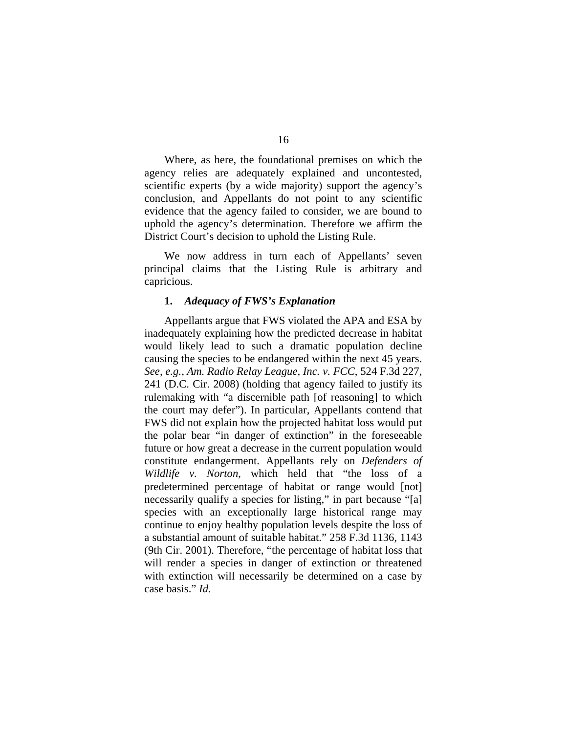Where, as here, the foundational premises on which the agency relies are adequately explained and uncontested, scientific experts (by a wide majority) support the agency's conclusion, and Appellants do not point to any scientific evidence that the agency failed to consider, we are bound to uphold the agency's determination. Therefore we affirm the District Court's decision to uphold the Listing Rule.

We now address in turn each of Appellants' seven principal claims that the Listing Rule is arbitrary and capricious.

## **1.** *Adequacy of FWS's Explanation*

Appellants argue that FWS violated the APA and ESA by inadequately explaining how the predicted decrease in habitat would likely lead to such a dramatic population decline causing the species to be endangered within the next 45 years. *See, e.g.*, *Am. Radio Relay League, Inc. v. FCC*, 524 F.3d 227, 241 (D.C. Cir. 2008) (holding that agency failed to justify its rulemaking with "a discernible path [of reasoning] to which the court may defer"). In particular, Appellants contend that FWS did not explain how the projected habitat loss would put the polar bear "in danger of extinction" in the foreseeable future or how great a decrease in the current population would constitute endangerment. Appellants rely on *Defenders of Wildlife v. Norton*, which held that "the loss of a predetermined percentage of habitat or range would [not] necessarily qualify a species for listing," in part because "[a] species with an exceptionally large historical range may continue to enjoy healthy population levels despite the loss of a substantial amount of suitable habitat." 258 F.3d 1136, 1143 (9th Cir. 2001). Therefore, "the percentage of habitat loss that will render a species in danger of extinction or threatened with extinction will necessarily be determined on a case by case basis." *Id.*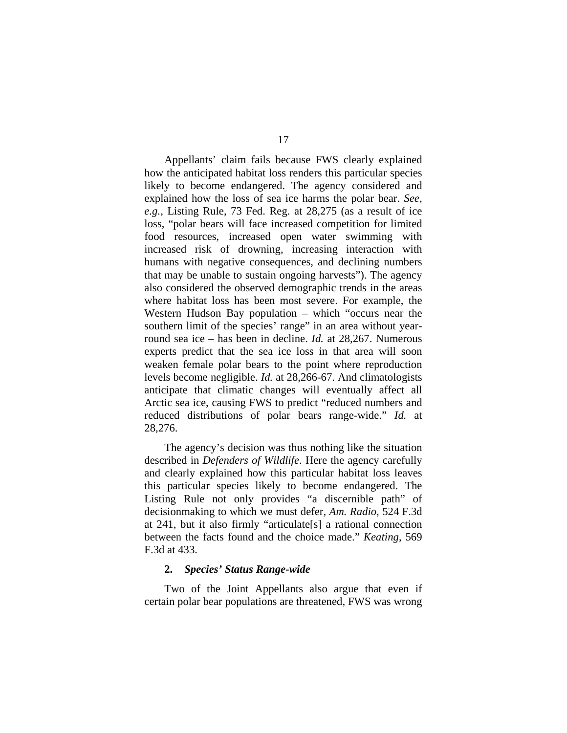Appellants' claim fails because FWS clearly explained how the anticipated habitat loss renders this particular species likely to become endangered. The agency considered and explained how the loss of sea ice harms the polar bear. *See, e.g.*, Listing Rule, 73 Fed. Reg. at 28,275 (as a result of ice loss, "polar bears will face increased competition for limited food resources, increased open water swimming with increased risk of drowning, increasing interaction with humans with negative consequences, and declining numbers that may be unable to sustain ongoing harvests"). The agency also considered the observed demographic trends in the areas where habitat loss has been most severe. For example, the Western Hudson Bay population – which "occurs near the southern limit of the species' range" in an area without yearround sea ice – has been in decline. *Id.* at 28,267. Numerous experts predict that the sea ice loss in that area will soon weaken female polar bears to the point where reproduction levels become negligible. *Id.* at 28,266-67. And climatologists anticipate that climatic changes will eventually affect all Arctic sea ice, causing FWS to predict "reduced numbers and reduced distributions of polar bears range-wide." *Id.* at 28,276.

The agency's decision was thus nothing like the situation described in *Defenders of Wildlife*. Here the agency carefully and clearly explained how this particular habitat loss leaves this particular species likely to become endangered. The Listing Rule not only provides "a discernible path" of decisionmaking to which we must defer, *Am. Radio*, 524 F.3d at 241, but it also firmly "articulate[s] a rational connection between the facts found and the choice made." *Keating*, 569 F.3d at 433.

# **2.** *Species' Status Range-wide*

Two of the Joint Appellants also argue that even if certain polar bear populations are threatened, FWS was wrong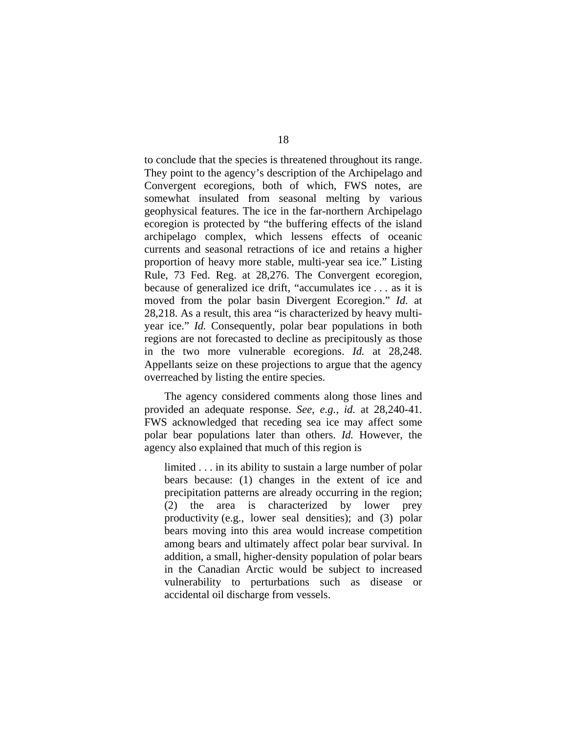to conclude that the species is threatened throughout its range. They point to the agency's description of the Archipelago and Convergent ecoregions, both of which, FWS notes, are somewhat insulated from seasonal melting by various geophysical features. The ice in the far-northern Archipelago ecoregion is protected by "the buffering effects of the island archipelago complex, which lessens effects of oceanic currents and seasonal retractions of ice and retains a higher proportion of heavy more stable, multi-year sea ice." Listing Rule, 73 Fed. Reg. at 28,276. The Convergent ecoregion, because of generalized ice drift, "accumulates ice . . . as it is moved from the polar basin Divergent Ecoregion." *Id.* at 28,218. As a result, this area "is characterized by heavy multiyear ice." *Id.* Consequently, polar bear populations in both regions are not forecasted to decline as precipitously as those in the two more vulnerable ecoregions. *Id.* at 28,248. Appellants seize on these projections to argue that the agency overreached by listing the entire species.

The agency considered comments along those lines and provided an adequate response. *See, e.g.*, *id.* at 28,240-41. FWS acknowledged that receding sea ice may affect some polar bear populations later than others. *Id.* However, the agency also explained that much of this region is

limited . . . in its ability to sustain a large number of polar bears because: (1) changes in the extent of ice and precipitation patterns are already occurring in the region; (2) the area is characterized by lower prey productivity (e.g., lower seal densities); and (3) polar bears moving into this area would increase competition among bears and ultimately affect polar bear survival. In addition, a small, higher-density population of polar bears in the Canadian Arctic would be subject to increased vulnerability to perturbations such as disease or accidental oil discharge from vessels.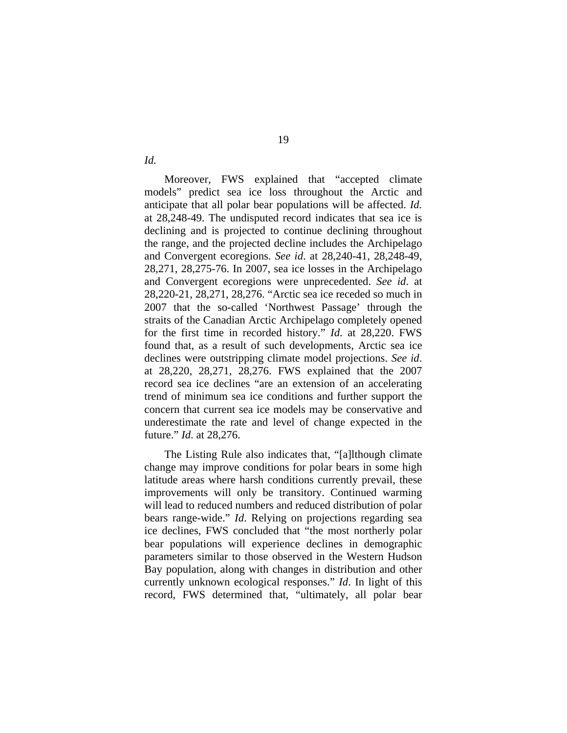*Id.*

Moreover, FWS explained that "accepted climate models" predict sea ice loss throughout the Arctic and anticipate that all polar bear populations will be affected. *Id.* at 28,248-49. The undisputed record indicates that sea ice is declining and is projected to continue declining throughout the range, and the projected decline includes the Archipelago and Convergent ecoregions. *See id*. at 28,240-41, 28,248-49, 28,271, 28,275-76. In 2007, sea ice losses in the Archipelago and Convergent ecoregions were unprecedented. *See id*. at 28,220-21, 28,271, 28,276. "Arctic sea ice receded so much in 2007 that the so-called 'Northwest Passage' through the straits of the Canadian Arctic Archipelago completely opened for the first time in recorded history." *Id*. at 28,220. FWS found that, as a result of such developments, Arctic sea ice declines were outstripping climate model projections. *See id*. at 28,220, 28,271, 28,276. FWS explained that the 2007 record sea ice declines "are an extension of an accelerating trend of minimum sea ice conditions and further support the concern that current sea ice models may be conservative and underestimate the rate and level of change expected in the future." *Id*. at 28,276.

The Listing Rule also indicates that, "[a]lthough climate change may improve conditions for polar bears in some high latitude areas where harsh conditions currently prevail, these improvements will only be transitory. Continued warming will lead to reduced numbers and reduced distribution of polar bears range-wide." *Id*. Relying on projections regarding sea ice declines, FWS concluded that "the most northerly polar bear populations will experience declines in demographic parameters similar to those observed in the Western Hudson Bay population, along with changes in distribution and other currently unknown ecological responses." *Id*. In light of this record, FWS determined that, "ultimately, all polar bear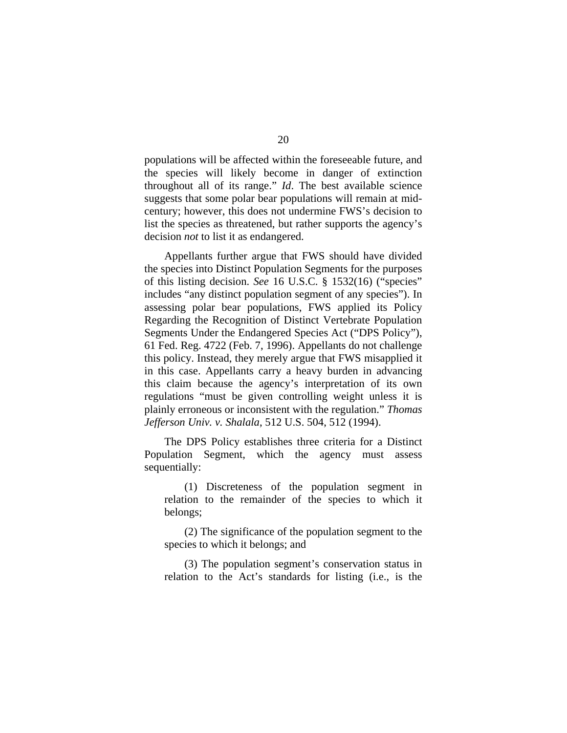populations will be affected within the foreseeable future, and the species will likely become in danger of extinction throughout all of its range." *Id*. The best available science suggests that some polar bear populations will remain at midcentury; however, this does not undermine FWS's decision to list the species as threatened, but rather supports the agency's decision *not* to list it as endangered.

Appellants further argue that FWS should have divided the species into Distinct Population Segments for the purposes of this listing decision. *See* 16 U.S.C. § 1532(16) ("species" includes "any distinct population segment of any species"). In assessing polar bear populations, FWS applied its Policy Regarding the Recognition of Distinct Vertebrate Population Segments Under the Endangered Species Act ("DPS Policy"), 61 Fed. Reg. 4722 (Feb. 7, 1996). Appellants do not challenge this policy. Instead, they merely argue that FWS misapplied it in this case. Appellants carry a heavy burden in advancing this claim because the agency's interpretation of its own regulations "must be given controlling weight unless it is plainly erroneous or inconsistent with the regulation." *Thomas Jefferson Univ. v. Shalala*, 512 U.S. 504, 512 (1994).

The DPS Policy establishes three criteria for a Distinct Population Segment, which the agency must assess sequentially:

(1) Discreteness of the population segment in relation to the remainder of the species to which it belongs;

(2) The significance of the population segment to the species to which it belongs; and

(3) The population segment's conservation status in relation to the Act's standards for listing (i.e., is the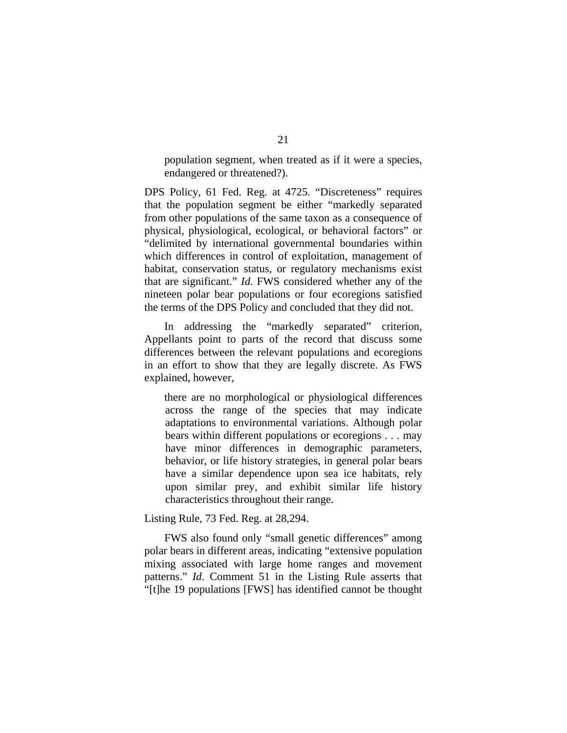population segment, when treated as if it were a species, endangered or threatened?).

DPS Policy, 61 Fed. Reg. at 4725. "Discreteness" requires that the population segment be either "markedly separated from other populations of the same taxon as a consequence of physical, physiological, ecological, or behavioral factors" or "delimited by international governmental boundaries within which differences in control of exploitation, management of habitat, conservation status, or regulatory mechanisms exist that are significant." *Id.* FWS considered whether any of the nineteen polar bear populations or four ecoregions satisfied the terms of the DPS Policy and concluded that they did not.

In addressing the "markedly separated" criterion, Appellants point to parts of the record that discuss some differences between the relevant populations and ecoregions in an effort to show that they are legally discrete. As FWS explained, however,

there are no morphological or physiological differences across the range of the species that may indicate adaptations to environmental variations. Although polar bears within different populations or ecoregions . . . may have minor differences in demographic parameters, behavior, or life history strategies, in general polar bears have a similar dependence upon sea ice habitats, rely upon similar prey, and exhibit similar life history characteristics throughout their range.

Listing Rule, 73 Fed. Reg. at 28,294.

FWS also found only "small genetic differences" among polar bears in different areas, indicating "extensive population mixing associated with large home ranges and movement patterns." *Id*. Comment 51 in the Listing Rule asserts that "[t]he 19 populations [FWS] has identified cannot be thought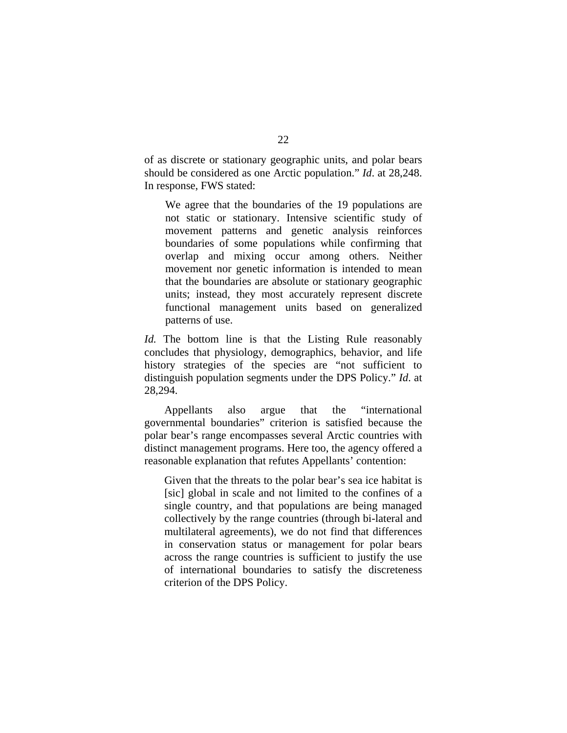of as discrete or stationary geographic units, and polar bears should be considered as one Arctic population." *Id*. at 28,248. In response, FWS stated:

We agree that the boundaries of the 19 populations are not static or stationary. Intensive scientific study of movement patterns and genetic analysis reinforces boundaries of some populations while confirming that overlap and mixing occur among others. Neither movement nor genetic information is intended to mean that the boundaries are absolute or stationary geographic units; instead, they most accurately represent discrete functional management units based on generalized patterns of use.

*Id.* The bottom line is that the Listing Rule reasonably concludes that physiology, demographics, behavior, and life history strategies of the species are "not sufficient to distinguish population segments under the DPS Policy." *Id*. at 28,294.

Appellants also argue that the "international governmental boundaries" criterion is satisfied because the polar bear's range encompasses several Arctic countries with distinct management programs. Here too, the agency offered a reasonable explanation that refutes Appellants' contention:

Given that the threats to the polar bear's sea ice habitat is [sic] global in scale and not limited to the confines of a single country, and that populations are being managed collectively by the range countries (through bi-lateral and multilateral agreements), we do not find that differences in conservation status or management for polar bears across the range countries is sufficient to justify the use of international boundaries to satisfy the discreteness criterion of the DPS Policy.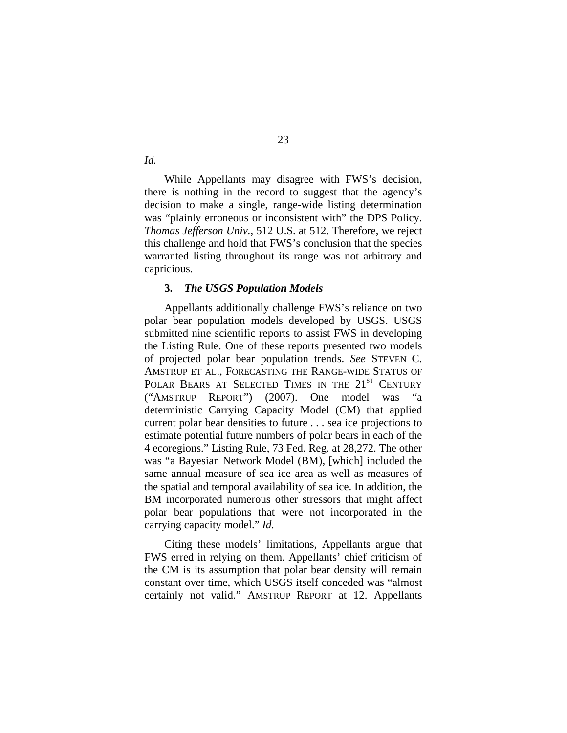While Appellants may disagree with FWS's decision, there is nothing in the record to suggest that the agency's decision to make a single, range-wide listing determination was "plainly erroneous or inconsistent with" the DPS Policy. *Thomas Jefferson Univ.*, 512 U.S. at 512. Therefore, we reject this challenge and hold that FWS's conclusion that the species warranted listing throughout its range was not arbitrary and capricious.

#### **3.** *The USGS Population Models*

Appellants additionally challenge FWS's reliance on two polar bear population models developed by USGS. USGS submitted nine scientific reports to assist FWS in developing the Listing Rule. One of these reports presented two models of projected polar bear population trends. *See* STEVEN C. AMSTRUP ET AL., FORECASTING THE RANGE-WIDE STATUS OF POLAR BEARS AT SELECTED TIMES IN THE 21<sup>ST</sup> CENTURY ("AMSTRUP REPORT") (2007). One model was "a deterministic Carrying Capacity Model (CM) that applied current polar bear densities to future . . . sea ice projections to estimate potential future numbers of polar bears in each of the 4 ecoregions." Listing Rule, 73 Fed. Reg. at 28,272. The other was "a Bayesian Network Model (BM), [which] included the same annual measure of sea ice area as well as measures of the spatial and temporal availability of sea ice. In addition, the BM incorporated numerous other stressors that might affect polar bear populations that were not incorporated in the carrying capacity model." *Id.*

Citing these models' limitations, Appellants argue that FWS erred in relying on them. Appellants' chief criticism of the CM is its assumption that polar bear density will remain constant over time, which USGS itself conceded was "almost certainly not valid." AMSTRUP REPORT at 12. Appellants

*Id.*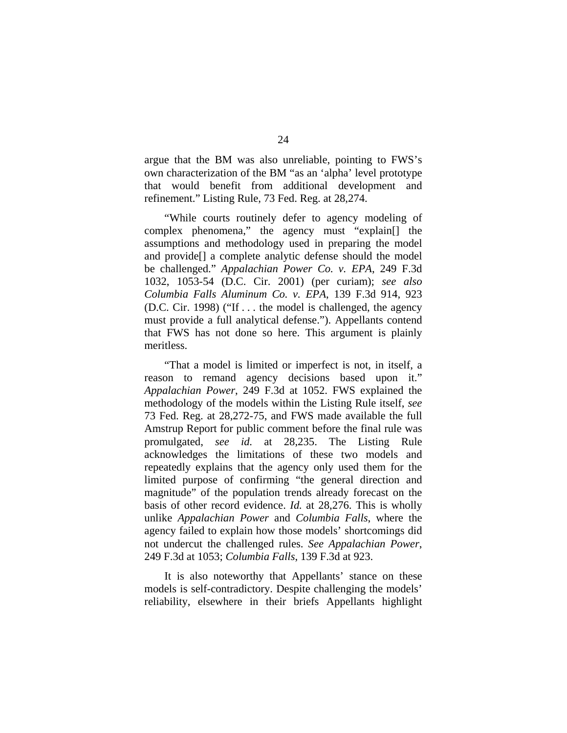argue that the BM was also unreliable, pointing to FWS's own characterization of the BM "as an 'alpha' level prototype that would benefit from additional development and refinement." Listing Rule, 73 Fed. Reg. at 28,274.

"While courts routinely defer to agency modeling of complex phenomena," the agency must "explain[] the assumptions and methodology used in preparing the model and provide[] a complete analytic defense should the model be challenged." *Appalachian Power Co. v. EPA*, 249 F.3d 1032, 1053-54 (D.C. Cir. 2001) (per curiam); *see also Columbia Falls Aluminum Co. v. EPA*, 139 F.3d 914, 923 (D.C. Cir. 1998) ("If . . . the model is challenged, the agency must provide a full analytical defense."). Appellants contend that FWS has not done so here. This argument is plainly meritless.

"That a model is limited or imperfect is not, in itself, a reason to remand agency decisions based upon it." *Appalachian Power*, 249 F.3d at 1052. FWS explained the methodology of the models within the Listing Rule itself, *see* 73 Fed. Reg. at 28,272-75, and FWS made available the full Amstrup Report for public comment before the final rule was promulgated, *see id.* at 28,235. The Listing Rule acknowledges the limitations of these two models and repeatedly explains that the agency only used them for the limited purpose of confirming "the general direction and magnitude" of the population trends already forecast on the basis of other record evidence. *Id.* at 28,276. This is wholly unlike *Appalachian Power* and *Columbia Falls*, where the agency failed to explain how those models' shortcomings did not undercut the challenged rules. *See Appalachian Power*, 249 F.3d at 1053; *Columbia Falls*, 139 F.3d at 923.

It is also noteworthy that Appellants' stance on these models is self-contradictory. Despite challenging the models' reliability, elsewhere in their briefs Appellants highlight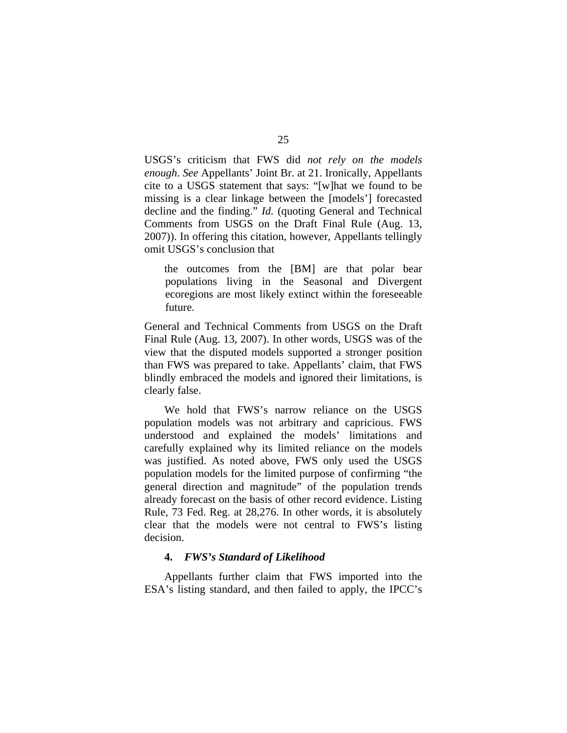USGS's criticism that FWS did *not rely on the models enough*. *See* Appellants' Joint Br. at 21. Ironically, Appellants cite to a USGS statement that says: "[w]hat we found to be missing is a clear linkage between the [models'] forecasted decline and the finding." *Id.* (quoting General and Technical Comments from USGS on the Draft Final Rule (Aug. 13, 2007)). In offering this citation, however, Appellants tellingly omit USGS's conclusion that

the outcomes from the [BM] are that polar bear populations living in the Seasonal and Divergent ecoregions are most likely extinct within the foreseeable future.

General and Technical Comments from USGS on the Draft Final Rule (Aug. 13, 2007). In other words, USGS was of the view that the disputed models supported a stronger position than FWS was prepared to take. Appellants' claim, that FWS blindly embraced the models and ignored their limitations, is clearly false.

We hold that FWS's narrow reliance on the USGS population models was not arbitrary and capricious. FWS understood and explained the models' limitations and carefully explained why its limited reliance on the models was justified. As noted above, FWS only used the USGS population models for the limited purpose of confirming "the general direction and magnitude" of the population trends already forecast on the basis of other record evidence. Listing Rule, 73 Fed. Reg. at 28,276. In other words, it is absolutely clear that the models were not central to FWS's listing decision.

## **4.** *FWS's Standard of Likelihood*

Appellants further claim that FWS imported into the ESA's listing standard, and then failed to apply, the IPCC's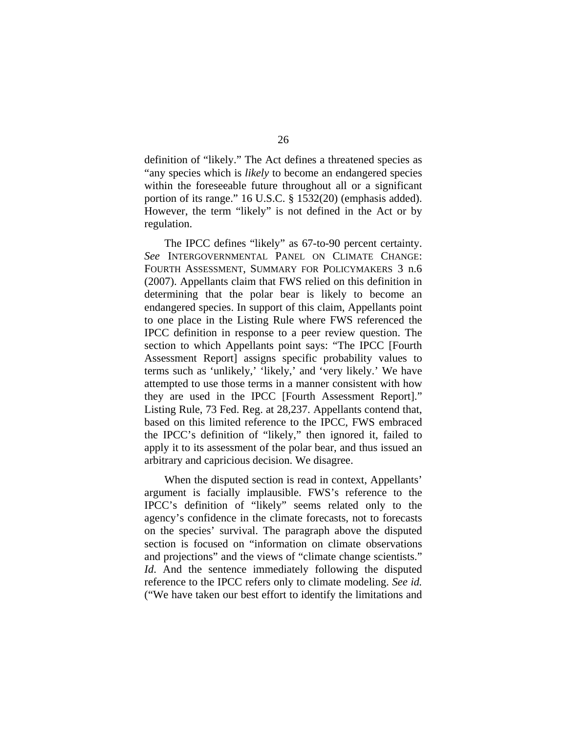definition of "likely." The Act defines a threatened species as "any species which is *likely* to become an endangered species within the foreseeable future throughout all or a significant portion of its range." 16 U.S.C. § 1532(20) (emphasis added). However, the term "likely" is not defined in the Act or by regulation.

The IPCC defines "likely" as 67-to-90 percent certainty. *See* INTERGOVERNMENTAL PANEL ON CLIMATE CHANGE: FOURTH ASSESSMENT, SUMMARY FOR POLICYMAKERS 3 n.6 (2007). Appellants claim that FWS relied on this definition in determining that the polar bear is likely to become an endangered species. In support of this claim, Appellants point to one place in the Listing Rule where FWS referenced the IPCC definition in response to a peer review question. The section to which Appellants point says: "The IPCC [Fourth Assessment Report] assigns specific probability values to terms such as 'unlikely,' 'likely,' and 'very likely.' We have attempted to use those terms in a manner consistent with how they are used in the IPCC [Fourth Assessment Report]." Listing Rule, 73 Fed. Reg. at 28,237. Appellants contend that, based on this limited reference to the IPCC, FWS embraced the IPCC's definition of "likely," then ignored it, failed to apply it to its assessment of the polar bear, and thus issued an arbitrary and capricious decision. We disagree.

When the disputed section is read in context, Appellants' argument is facially implausible. FWS's reference to the IPCC's definition of "likely" seems related only to the agency's confidence in the climate forecasts, not to forecasts on the species' survival. The paragraph above the disputed section is focused on "information on climate observations and projections" and the views of "climate change scientists." *Id*. And the sentence immediately following the disputed reference to the IPCC refers only to climate modeling. *See id.* ("We have taken our best effort to identify the limitations and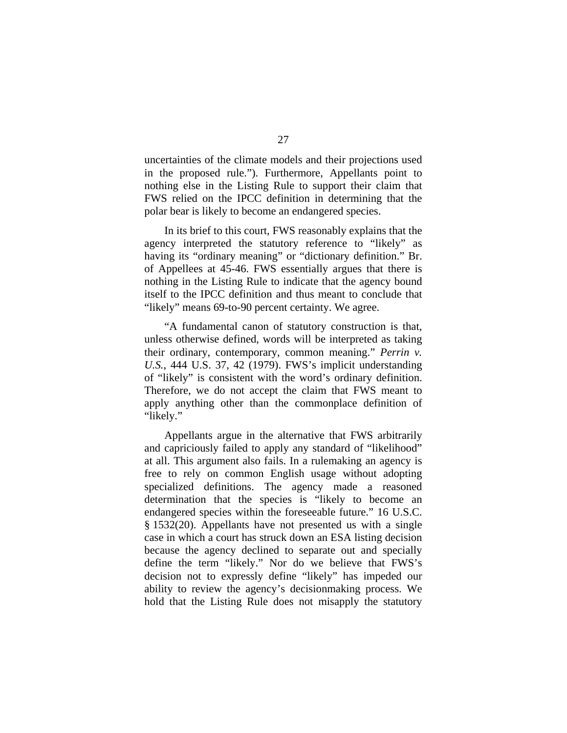uncertainties of the climate models and their projections used in the proposed rule."). Furthermore, Appellants point to nothing else in the Listing Rule to support their claim that FWS relied on the IPCC definition in determining that the polar bear is likely to become an endangered species.

In its brief to this court, FWS reasonably explains that the agency interpreted the statutory reference to "likely" as having its "ordinary meaning" or "dictionary definition." Br. of Appellees at 45-46. FWS essentially argues that there is nothing in the Listing Rule to indicate that the agency bound itself to the IPCC definition and thus meant to conclude that "likely" means 69-to-90 percent certainty. We agree.

"A fundamental canon of statutory construction is that, unless otherwise defined, words will be interpreted as taking their ordinary, contemporary, common meaning." *Perrin v. U.S.*, 444 U.S. 37, 42 (1979). FWS's implicit understanding of "likely" is consistent with the word's ordinary definition. Therefore, we do not accept the claim that FWS meant to apply anything other than the commonplace definition of "likely."

Appellants argue in the alternative that FWS arbitrarily and capriciously failed to apply any standard of "likelihood" at all. This argument also fails. In a rulemaking an agency is free to rely on common English usage without adopting specialized definitions. The agency made a reasoned determination that the species is "likely to become an endangered species within the foreseeable future." 16 U.S.C. § 1532(20). Appellants have not presented us with a single case in which a court has struck down an ESA listing decision because the agency declined to separate out and specially define the term "likely." Nor do we believe that FWS's decision not to expressly define "likely" has impeded our ability to review the agency's decisionmaking process. We hold that the Listing Rule does not misapply the statutory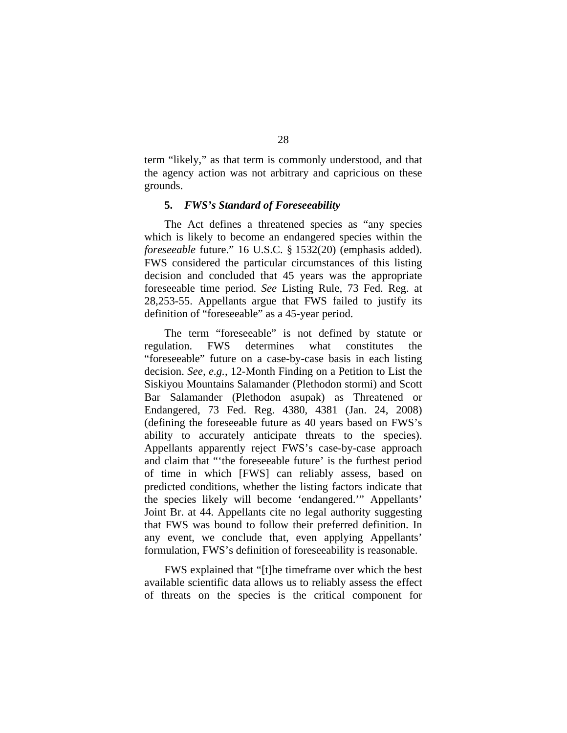term "likely," as that term is commonly understood, and that the agency action was not arbitrary and capricious on these grounds.

## **5.** *FWS's Standard of Foreseeability*

The Act defines a threatened species as "any species which is likely to become an endangered species within the *foreseeable* future." 16 U.S.C. § 1532(20) (emphasis added). FWS considered the particular circumstances of this listing decision and concluded that 45 years was the appropriate foreseeable time period. *See* Listing Rule, 73 Fed. Reg. at 28,253-55. Appellants argue that FWS failed to justify its definition of "foreseeable" as a 45-year period.

The term "foreseeable" is not defined by statute or regulation. FWS determines what constitutes the "foreseeable" future on a case-by-case basis in each listing decision. *See, e.g.*, 12-Month Finding on a Petition to List the Siskiyou Mountains Salamander (Plethodon stormi) and Scott Bar Salamander (Plethodon asupak) as Threatened or Endangered, 73 Fed. Reg. 4380, 4381 (Jan. 24, 2008) (defining the foreseeable future as 40 years based on FWS's ability to accurately anticipate threats to the species). Appellants apparently reject FWS's case-by-case approach and claim that "'the foreseeable future' is the furthest period of time in which [FWS] can reliably assess, based on predicted conditions, whether the listing factors indicate that the species likely will become 'endangered.'" Appellants' Joint Br. at 44. Appellants cite no legal authority suggesting that FWS was bound to follow their preferred definition. In any event, we conclude that, even applying Appellants' formulation, FWS's definition of foreseeability is reasonable.

FWS explained that "[t]he timeframe over which the best available scientific data allows us to reliably assess the effect of threats on the species is the critical component for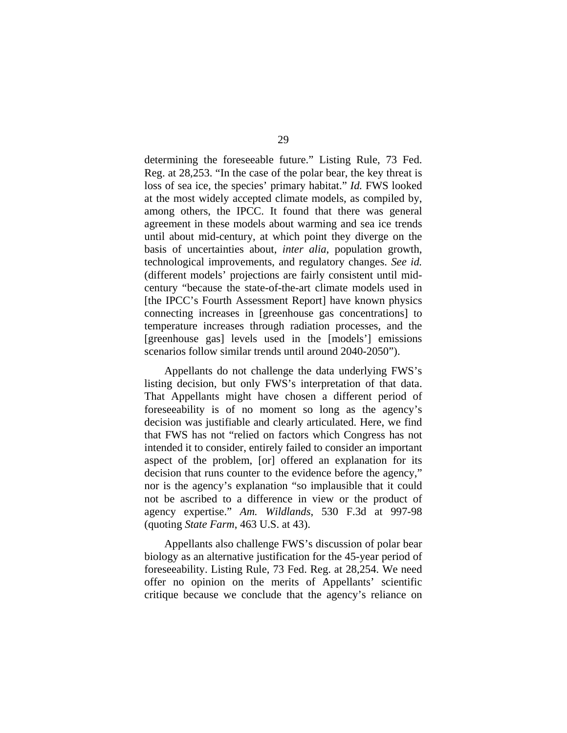determining the foreseeable future." Listing Rule, 73 Fed. Reg. at 28,253. "In the case of the polar bear, the key threat is loss of sea ice, the species' primary habitat." *Id.* FWS looked at the most widely accepted climate models, as compiled by, among others, the IPCC. It found that there was general agreement in these models about warming and sea ice trends until about mid-century, at which point they diverge on the basis of uncertainties about, *inter alia*, population growth, technological improvements, and regulatory changes. *See id.* (different models' projections are fairly consistent until midcentury "because the state-of-the-art climate models used in [the IPCC's Fourth Assessment Report] have known physics connecting increases in [greenhouse gas concentrations] to temperature increases through radiation processes, and the [greenhouse gas] levels used in the [models'] emissions scenarios follow similar trends until around 2040-2050").

Appellants do not challenge the data underlying FWS's listing decision, but only FWS's interpretation of that data. That Appellants might have chosen a different period of foreseeability is of no moment so long as the agency's decision was justifiable and clearly articulated. Here, we find that FWS has not "relied on factors which Congress has not intended it to consider, entirely failed to consider an important aspect of the problem, [or] offered an explanation for its decision that runs counter to the evidence before the agency," nor is the agency's explanation "so implausible that it could not be ascribed to a difference in view or the product of agency expertise." *Am. Wildlands*, 530 F.3d at 997-98 (quoting *State Farm*, 463 U.S. at 43).

Appellants also challenge FWS's discussion of polar bear biology as an alternative justification for the 45-year period of foreseeability. Listing Rule, 73 Fed. Reg. at 28,254. We need offer no opinion on the merits of Appellants' scientific critique because we conclude that the agency's reliance on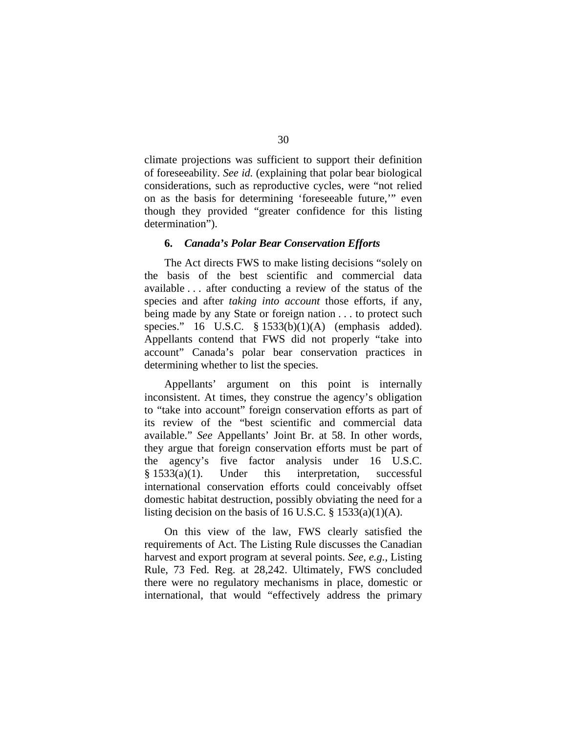climate projections was sufficient to support their definition of foreseeability. *See id.* (explaining that polar bear biological considerations, such as reproductive cycles, were "not relied on as the basis for determining 'foreseeable future,'" even though they provided "greater confidence for this listing determination").

# **6.** *Canada's Polar Bear Conservation Efforts*

The Act directs FWS to make listing decisions "solely on the basis of the best scientific and commercial data available . . . after conducting a review of the status of the species and after *taking into account* those efforts, if any, being made by any State or foreign nation . . . to protect such species." 16 U.S.C.  $\S$  1533(b)(1)(A) (emphasis added). Appellants contend that FWS did not properly "take into account" Canada's polar bear conservation practices in determining whether to list the species.

Appellants' argument on this point is internally inconsistent. At times, they construe the agency's obligation to "take into account" foreign conservation efforts as part of its review of the "best scientific and commercial data available." *See* Appellants' Joint Br. at 58. In other words, they argue that foreign conservation efforts must be part of the agency's five factor analysis under 16 U.S.C. § 1533(a)(1). Under this interpretation, successful international conservation efforts could conceivably offset domestic habitat destruction, possibly obviating the need for a listing decision on the basis of 16 U.S.C.  $\S$  1533(a)(1)(A).

On this view of the law, FWS clearly satisfied the requirements of Act. The Listing Rule discusses the Canadian harvest and export program at several points. *See, e.g.*, Listing Rule, 73 Fed. Reg. at 28,242. Ultimately, FWS concluded there were no regulatory mechanisms in place, domestic or international, that would "effectively address the primary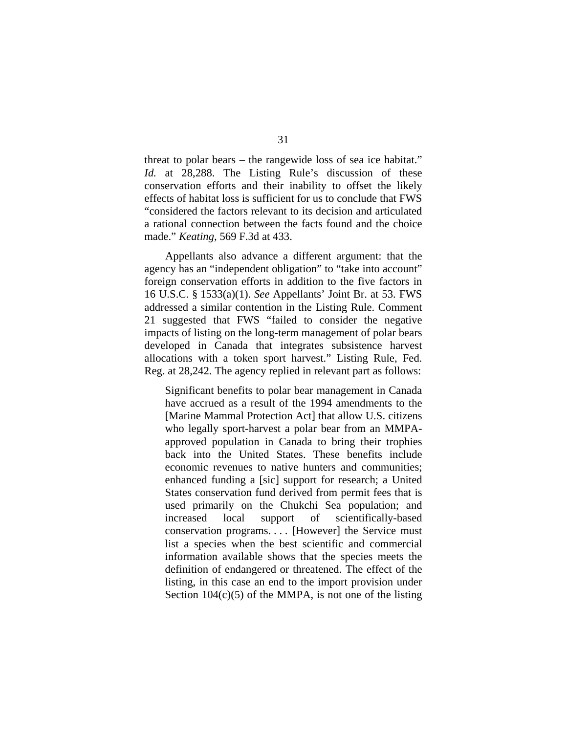threat to polar bears – the rangewide loss of sea ice habitat." *Id.* at 28,288. The Listing Rule's discussion of these conservation efforts and their inability to offset the likely effects of habitat loss is sufficient for us to conclude that FWS "considered the factors relevant to its decision and articulated a rational connection between the facts found and the choice made." *Keating*, 569 F.3d at 433.

Appellants also advance a different argument: that the agency has an "independent obligation" to "take into account" foreign conservation efforts in addition to the five factors in 16 U.S.C. § 1533(a)(1). *See* Appellants' Joint Br. at 53. FWS addressed a similar contention in the Listing Rule. Comment 21 suggested that FWS "failed to consider the negative impacts of listing on the long-term management of polar bears developed in Canada that integrates subsistence harvest allocations with a token sport harvest." Listing Rule, Fed. Reg. at 28,242. The agency replied in relevant part as follows:

Significant benefits to polar bear management in Canada have accrued as a result of the 1994 amendments to the [Marine Mammal Protection Act] that allow U.S. citizens who legally sport-harvest a polar bear from an MMPAapproved population in Canada to bring their trophies back into the United States. These benefits include economic revenues to native hunters and communities; enhanced funding a [sic] support for research; a United States conservation fund derived from permit fees that is used primarily on the Chukchi Sea population; and increased local support of scientifically-based conservation programs. . . . [However] the Service must list a species when the best scientific and commercial information available shows that the species meets the definition of endangered or threatened. The effect of the listing, in this case an end to the import provision under Section  $104(c)(5)$  of the MMPA, is not one of the listing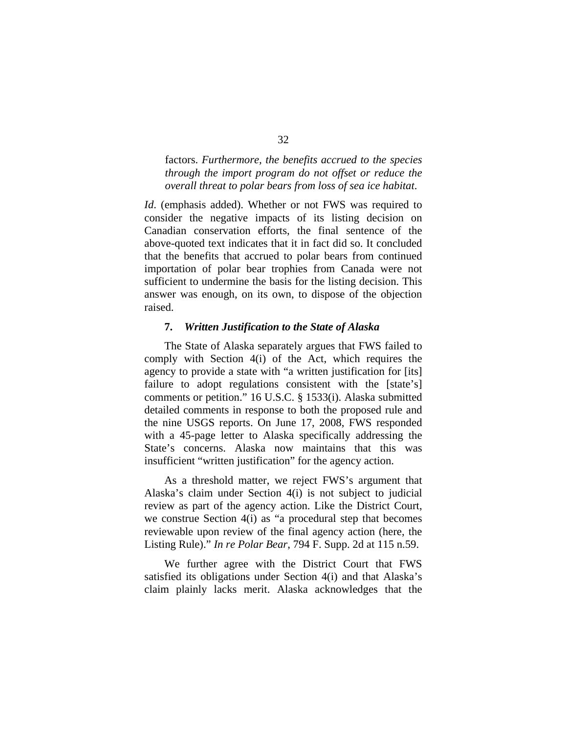factors. *Furthermore, the benefits accrued to the species through the import program do not offset or reduce the overall threat to polar bears from loss of sea ice habitat*.

*Id*. (emphasis added). Whether or not FWS was required to consider the negative impacts of its listing decision on Canadian conservation efforts, the final sentence of the above-quoted text indicates that it in fact did so. It concluded that the benefits that accrued to polar bears from continued importation of polar bear trophies from Canada were not sufficient to undermine the basis for the listing decision. This answer was enough, on its own, to dispose of the objection raised.

## **7.** *Written Justification to the State of Alaska*

The State of Alaska separately argues that FWS failed to comply with Section 4(i) of the Act, which requires the agency to provide a state with "a written justification for [its] failure to adopt regulations consistent with the [state's] comments or petition." 16 U.S.C. § 1533(i). Alaska submitted detailed comments in response to both the proposed rule and the nine USGS reports. On June 17, 2008, FWS responded with a 45-page letter to Alaska specifically addressing the State's concerns. Alaska now maintains that this was insufficient "written justification" for the agency action.

As a threshold matter, we reject FWS's argument that Alaska's claim under Section 4(i) is not subject to judicial review as part of the agency action. Like the District Court, we construe Section 4(i) as "a procedural step that becomes reviewable upon review of the final agency action (here, the Listing Rule)." *In re Polar Bear*, 794 F. Supp. 2d at 115 n.59.

We further agree with the District Court that FWS satisfied its obligations under Section 4(i) and that Alaska's claim plainly lacks merit. Alaska acknowledges that the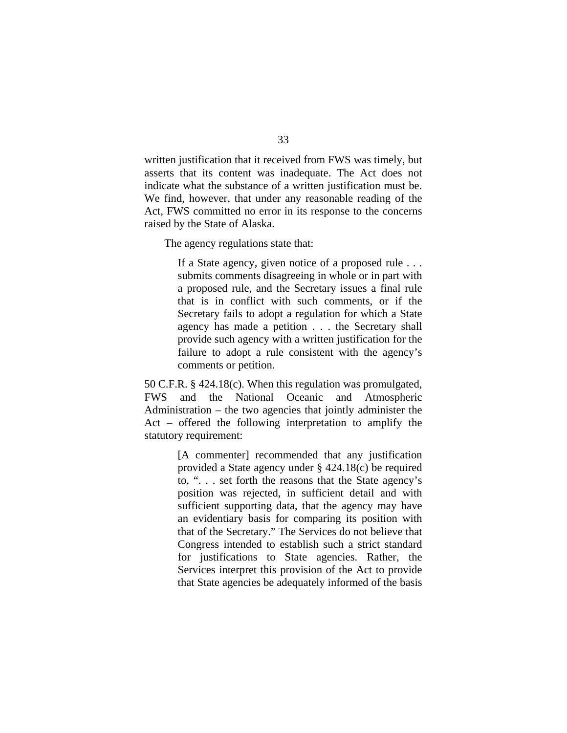written justification that it received from FWS was timely, but asserts that its content was inadequate. The Act does not indicate what the substance of a written justification must be. We find, however, that under any reasonable reading of the Act, FWS committed no error in its response to the concerns raised by the State of Alaska.

The agency regulations state that:

If a State agency, given notice of a proposed rule . . . submits comments disagreeing in whole or in part with a proposed rule, and the Secretary issues a final rule that is in conflict with such comments, or if the Secretary fails to adopt a regulation for which a State agency has made a petition . . . the Secretary shall provide such agency with a written justification for the failure to adopt a rule consistent with the agency's comments or petition.

50 C.F.R. § 424.18(c). When this regulation was promulgated, FWS and the National Oceanic and Atmospheric Administration – the two agencies that jointly administer the Act – offered the following interpretation to amplify the statutory requirement:

> [A commenter] recommended that any justification provided a State agency under § 424.18(c) be required to, ". . . set forth the reasons that the State agency's position was rejected, in sufficient detail and with sufficient supporting data, that the agency may have an evidentiary basis for comparing its position with that of the Secretary." The Services do not believe that Congress intended to establish such a strict standard for justifications to State agencies. Rather, the Services interpret this provision of the Act to provide that State agencies be adequately informed of the basis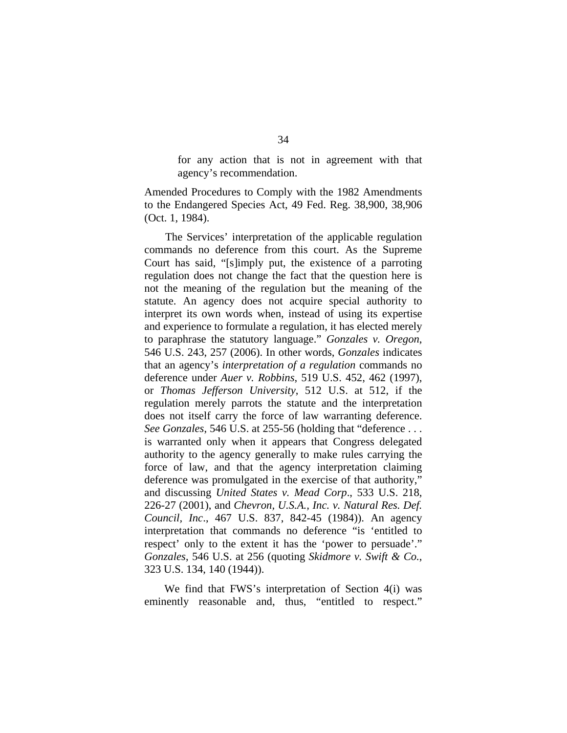for any action that is not in agreement with that agency's recommendation.

Amended Procedures to Comply with the 1982 Amendments to the Endangered Species Act, 49 Fed. Reg. 38,900, 38,906 (Oct. 1, 1984).

The Services' interpretation of the applicable regulation commands no deference from this court. As the Supreme Court has said, "[s]imply put, the existence of a parroting regulation does not change the fact that the question here is not the meaning of the regulation but the meaning of the statute. An agency does not acquire special authority to interpret its own words when, instead of using its expertise and experience to formulate a regulation, it has elected merely to paraphrase the statutory language." *Gonzales v. Oregon*, 546 U.S. 243, 257 (2006). In other words, *Gonzales* indicates that an agency's *interpretation of a regulation* commands no deference under *Auer v. Robbins*, 519 U.S. 452, 462 (1997), or *Thomas Jefferson University*, 512 U.S. at 512, if the regulation merely parrots the statute and the interpretation does not itself carry the force of law warranting deference. *See Gonzales*, 546 U.S. at 255-56 (holding that "deference . . . is warranted only when it appears that Congress delegated authority to the agency generally to make rules carrying the force of law, and that the agency interpretation claiming deference was promulgated in the exercise of that authority," and discussing *United States v. Mead Corp*., 533 U.S. 218, 226-27 (2001), and *Chevron, U.S.A., Inc. v. Natural Res. Def. Council, Inc*., 467 U.S. 837, 842-45 (1984)). An agency interpretation that commands no deference "is 'entitled to respect' only to the extent it has the 'power to persuade'." *Gonzales*, 546 U.S. at 256 (quoting *Skidmore v. Swift & Co.*, 323 U.S. 134, 140 (1944)).

We find that FWS's interpretation of Section 4(i) was eminently reasonable and, thus, "entitled to respect."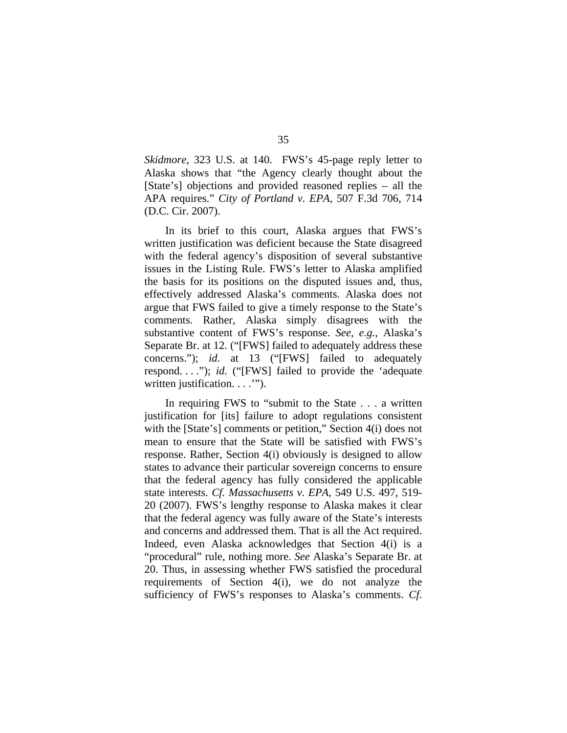*Skidmore*, 323 U.S. at 140. FWS's 45-page reply letter to Alaska shows that "the Agency clearly thought about the [State's] objections and provided reasoned replies – all the APA requires." *City of Portland v. EPA*, 507 F.3d 706, 714 (D.C. Cir. 2007).

In its brief to this court, Alaska argues that FWS's written justification was deficient because the State disagreed with the federal agency's disposition of several substantive issues in the Listing Rule. FWS's letter to Alaska amplified the basis for its positions on the disputed issues and, thus, effectively addressed Alaska's comments. Alaska does not argue that FWS failed to give a timely response to the State's comments. Rather, Alaska simply disagrees with the substantive content of FWS's response. *See, e.g.*, Alaska's Separate Br. at 12. ("[FWS] failed to adequately address these concerns."); *id.* at 13 ("[FWS] failed to adequately respond. . . ."); *id.* ("[FWS] failed to provide the 'adequate written justification. . . . "").

In requiring FWS to "submit to the State . . . a written justification for [its] failure to adopt regulations consistent with the [State's] comments or petition," Section 4(i) does not mean to ensure that the State will be satisfied with FWS's response. Rather, Section 4(i) obviously is designed to allow states to advance their particular sovereign concerns to ensure that the federal agency has fully considered the applicable state interests. *Cf. Massachusetts v. EPA*, 549 U.S. 497, 519- 20 (2007). FWS's lengthy response to Alaska makes it clear that the federal agency was fully aware of the State's interests and concerns and addressed them. That is all the Act required. Indeed, even Alaska acknowledges that Section 4(i) is a "procedural" rule, nothing more. *See* Alaska's Separate Br. at 20. Thus, in assessing whether FWS satisfied the procedural requirements of Section 4(i), we do not analyze the sufficiency of FWS's responses to Alaska's comments. *Cf.*